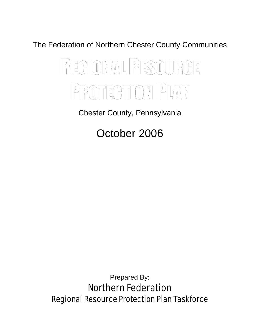The Federation of Northern Chester County Communities

# REGIONAL RESOURCE PROTECTION PLAN

Chester County, Pennsylvania

October 2006

Prepared By: Northern Federation Regional Resource Protection Plan Taskforce